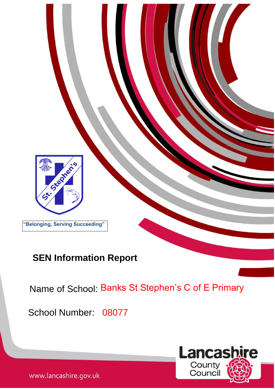

1

School Number: 08077



www.lancashire.gov.uk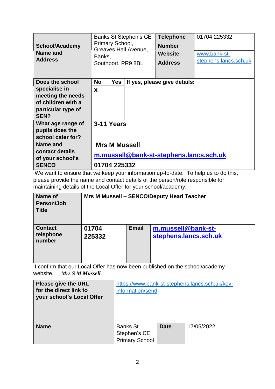| <b>School/Academy</b><br>Name and<br><b>Address</b>                                                       | Banks St Stephen's CE<br>Primary School,<br>Greaves Hall Avenue,<br>Banks,<br>Southport, PR9 8BL |            | <b>Telephone</b><br><b>Number</b><br>Website<br><b>Address</b> | 01704 225332<br>www.bank-st-<br>stephens.lancs.sch.uk |  |  |
|-----------------------------------------------------------------------------------------------------------|--------------------------------------------------------------------------------------------------|------------|----------------------------------------------------------------|-------------------------------------------------------|--|--|
| Does the school<br>specialise in<br>meeting the needs<br>of children with a<br>particular type of<br>SEN? | <b>No</b><br>X                                                                                   | <b>Yes</b> |                                                                | If yes, please give details:                          |  |  |
| What age range of<br>pupils does the<br>school cater for?                                                 | 3-11 Years                                                                                       |            |                                                                |                                                       |  |  |
| Name and<br>contact details<br>of your school's<br><b>SENCO</b>                                           | <b>Mrs M Mussell</b><br>m.mussell@bank-st-stephens.lancs.sch.uk<br>01704 225332                  |            |                                                                |                                                       |  |  |

We want to ensure that we keep your information up-to-date. To help us to do this, please provide the name and contact details of the person/role responsible for maintaining details of the Local Offer for your school/academy.

| Name of<br>Person/Job<br><b>Title</b> | Mrs M Mussell - SENCO/Deputy Head Teacher |              |                                             |  |  |
|---------------------------------------|-------------------------------------------|--------------|---------------------------------------------|--|--|
| <b>Contact</b><br>telephone<br>number | 01704<br>225332                           | <b>Email</b> | m.mussell@bank-st-<br>stephens.lancs.sch.uk |  |  |

I confirm that our Local Offer has now been published on the school/academy website. *Mrs S M Mussell*

| <b>Please give the URL</b><br>for the direct link to<br>your school's Local Offer | information/send                                         |             | https://www.bank-st-stephens.lancs.sch.uk/key- |
|-----------------------------------------------------------------------------------|----------------------------------------------------------|-------------|------------------------------------------------|
| <b>Name</b>                                                                       | <b>Banks St</b><br>Stephen's CE<br><b>Primary School</b> | <b>Date</b> | 17/05/2022                                     |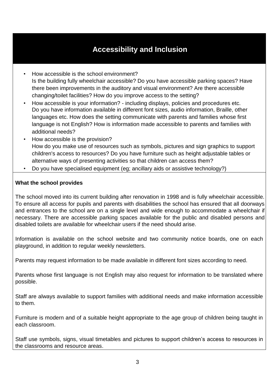## **Accessibility and Inclusion**

- How accessible is the school environment? Is the building fully wheelchair accessible? Do you have accessible parking spaces? Have there been improvements in the auditory and visual environment? Are there accessible changing/toilet facilities? How do you improve access to the setting?
- How accessible is your information? including displays, policies and procedures etc. Do you have information available in different font sizes, audio information, Braille, other languages etc. How does the setting communicate with parents and families whose first language is not English? How is information made accessible to parents and families with additional needs?
- How accessible is the provision? How do you make use of resources such as symbols, pictures and sign graphics to support children's access to resources? Do you have furniture such as height adjustable tables or alternative ways of presenting activities so that children can access them?
- Do you have specialised equipment (eg; ancillary aids or assistive technology?)

### **What the school provides**

 The school moved into its current building after renovation in 1998 and is fully wheelchair accessible. To ensure all access for pupils and parents with disabilities the school has ensured that all doorways and entrances to the school are on a single level and wide enough to accommodate a wheelchair if necessary. There are accessible parking spaces available for the public and disabled persons and disabled toilets are available for wheelchair users if the need should arise.

 Information is available on the school website and two community notice boards, one on each playground, in addition to regular weekly newsletters.

Parents may request information to be made available in different font sizes according to need.

 Parents whose first language is not English may also request for information to be translated where possible.

 Staff are always available to support families with additional needs and make information accessible to them.

 Furniture is modern and of a suitable height appropriate to the age group of children being taught in each classroom.

 Staff use symbols, signs, visual timetables and pictures to support children's access to resources in the classrooms and resource areas.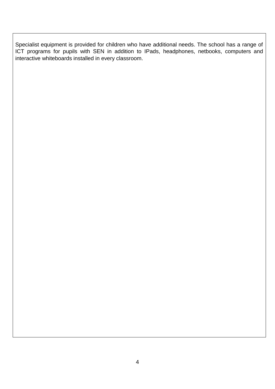Specialist equipment is provided for children who have additional needs. The school has a range of ICT programs for pupils with SEN in addition to IPads, headphones, netbooks, computers and interactive whiteboards installed in every classroom.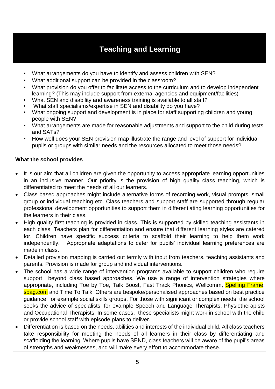# **Teaching and Learning**

- What arrangements do you have to identify and assess children with SEN?
- What additional support can be provided in the classroom?
- What provision do you offer to facilitate access to the curriculum and to develop independent learning? (This may include support from external agencies and equipment/facilities)
- What SEN and disability and awareness training is available to all staff?
- What staff specialisms/expertise in SEN and disability do you have?
- What ongoing support and development is in place for staff supporting children and young people with SEN?
- What arrangements are made for reasonable adjustments and support to the child during tests and SATs?
- How well does your SEN provision map illustrate the range and level of support for individual pupils or groups with similar needs and the resources allocated to meet those needs?

- It is our aim that all children are given the opportunity to access appropriate learning opportunities in an inclusive manner. Our priority is the provision of high quality class teaching, which is differentiated to meet the needs of all our learners.
- Class based approaches might include alternative forms of recording work, visual prompts, small group or individual teaching etc. Class teachers and support staff are supported through regular professional development opportunities to support them in differentiating learning opportunities for the learners in their class.
- High quality first teaching is provided in class. This is supported by skilled teaching assistants in each class. Teachers plan for differentiation and ensure that different learning styles are catered for. Children have specific success criteria to scaffold their learning to help them work independently. Appropriate adaptations to cater for pupils' individual learning preferences are made in class.
- Detailed provision mapping is carried out termly with input from teachers, teaching assistants and parents. Provision is made for group and individual interventions.
- The school has a wide range of intervention programs available to support children who require support beyond class based approaches. We use a range of intervention strategies where appropriate, including Toe by Toe, Talk Boost, Fast Track Phonics, Wellcomm, Spelling Frame, spag.com and Time To Talk. Others are bespoke/personalised approaches based on best practice guidance, for example social skills groups. For those with significant or complex needs, the school seeks the advice of specialists, for example Speech and Language Therapists, Physiotherapists and Occupational Therapists. In some cases, these specialists might work in school with the child or provide school staff with episode plans to deliver.
- Differentiation is based on the needs, abilities and interests of the individual child. All class teachers take responsibility for meeting the needs of all learners in their class by differentiating and scaffolding the learning. Where pupils have SEND, class teachers will be aware of the pupil's areas of strengths and weaknesses, and will make every effort to accommodate these.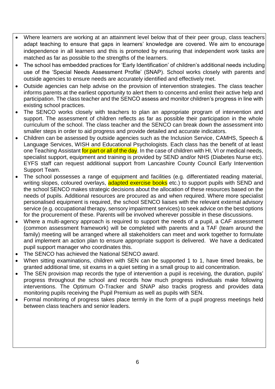- Where learners are working at an attainment level below that of their peer group, class teachers adapt teaching to ensure that gaps in learners' knowledge are covered. We aim to encourage independence in all learners and this is promoted by ensuring that independent work tasks are matched as far as possible to the strengths of the learners.
- The school has embedded practices for 'Early Identification' of children's additional needs including use of the 'Special Needs Assessment Profile' (SNAP). School works closely with parents and outside agencies to ensure needs are accurately identified and effectively met.
- Outside agencies can help advise on the provision of intervention strategies. The class teacher informs parents at the earliest opportunity to alert them to concerns and enlist their active help and participation. The class teacher and the SENCO assess and monitor children's progress in line with existing school practices.
- The SENCO works closely with teachers to plan an appropriate program of intervention and support. The assessment of children reflects as far as possible their participation in the whole curriculum of the school. The class teacher and the SENCO can break down the assessment into smaller steps in order to aid progress and provide detailed and accurate indicators.
- Children can be assessed by outside agencies such as the Inclusion Service, CAMHS, Speech & Language Services, WISH and Educational Psychologists. Each class has the benefit of at least one Teaching Assistant for part or all of the day. In the case of children with HI, VI or medical needs, specialist support, equipment and training is provided by SEND and/or NHS (Diabetes Nurse etc). EYFS staff can request additional support from Lancashire County Council Early Intervention Support Team.
- The school possesses a range of equipment and facilities (e.g. differentiated reading material, writing slopes, coloured overlays, adapted exercise books etc.) to support pupils with SEND and the school SENCO makes strategic decisions about the allocation of these resources based on the needs of pupils. Additional resources are procured as and when required. Where more specialist personalised equipment is required, the school SENCO liaises with the relevant external advisory service (e.g. occupational therapy, sensory impairment services) to seek advice on the best options for the procurement of these. Parents will be involved wherever possible in these discussions.
- Where a multi-agency approach is required to support the needs of a pupil, a CAF assessment (common assessment framework) will be completed with parents and a TAF (team around the family) meeting will be arranged where all stakeholders can meet and work together to formulate and implement an action plan to ensure appropriate support is delivered. We have a dedicated pupil support manager who coordinates this.
- The SENCO has achieved the National SENCO award.
- When sitting examinations, children with SEN can be supported 1 to 1, have timed breaks, be granted additional time, sit exams in a quiet setting in a small group to aid concentration.
- The SEN provision map records the type of intervention a pupil is receiving, the duration, pupils' progress throughout the school and records how much progress individuals make following interventions. The Optimum O-Tracker and SNAP also tracks progress and provides data monitoring pupils receiving the Pupil Premium as well as pupils with SEN.
- Formal monitoring of progress takes place termly in the form of a pupil progress meetings held between class teachers and senior leaders.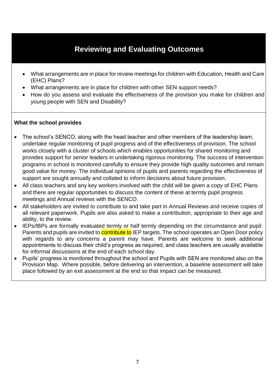## **Reviewing and Evaluating Outcomes**

- What arrangements are in place for review meetings for children with Education, Health and Care (EHC) Plans?
- What arrangements are in place for children with other SEN support needs?
- How do you assess and evaluate the effectiveness of the provision you make for children and young people with SEN and Disability?

- The school's SENCO, along with the head teacher and other members of the leadership team, undertake regular monitoring of pupil progress and of the effectiveness of provision. The school works closely with a cluster of schools which enables opportunities for shared monitoring and provides support for senior leaders in undertaking rigorous monitoring. The success of intervention programs in school is monitored carefully to ensure they provide high quality outcomes and remain good value for money. The individual opinions of pupils and parents regarding the effectiveness of support are sought annually and collated to inform decisions about future provision.
- All class teachers and any key workers involved with the child will be given a copy of EHC Plans and there are regular opportunities to discuss the content of these at termly pupil progress meetings and Annual reviews with the SENCO.
- All stakeholders are invited to contribute to and take part in Annual Reviews and receive copies of all relevant paperwork. Pupils are also asked to make a contribution, appropriate to their age and ability, to the review.
- IEPs/IBPs are formally evaluated termly or half termly depending on the circumstance and pupil. Parents and pupils are invited to **contribute to** IEP targets. The school operates an Open Door policy with regards to any concerns a parent may have. Parents are welcome to seek additional appointments to discuss their child's progress as required, and class teachers are usually available for informal discussions at the end of each school day.
- Pupils' progress is monitored throughout the school and Pupils with SEN are monitored also on the Provision Map. Where possible, before delivering an intervention, a baseline assessment will take place followed by an exit assessment at the end so that impact can be measured.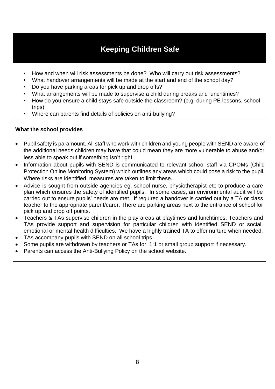# **Keeping Children Safe**

- How and when will risk assessments be done? Who will carry out risk assessments?
- What handover arrangements will be made at the start and end of the school day?
- Do you have parking areas for pick up and drop offs?
- What arrangements will be made to supervise a child during breaks and lunchtimes?
- How do you ensure a child stays safe outside the classroom? (e.g. during PE lessons, school trips)
- Where can parents find details of policies on anti-bullying?

- Pupil safety is paramount. All staff who work with children and young people with SEND are aware of the additional needs children may have that could mean they are more vulnerable to abuse and/or less able to speak out if something isn't right.
- Information about pupils with SEND is communicated to relevant school staff via CPOMs (Child Protection Online Monitoring System) which outlines any areas which could pose a risk to the pupil. Where risks are identified, measures are taken to limit these.
- Advice is sought from outside agencies eg, school nurse, physiotherapist etc to produce a care plan which ensures the safety of identified pupils. In some cases, an environmental audit will be carried out to ensure pupils' needs are met. If required a handover is carried out by a TA or class teacher to the appropriate parent/carer. There are parking areas next to the entrance of school for pick up and drop off points.
- Teachers & TAs supervise children in the play areas at playtimes and lunchtimes. Teachers and TAs provide support and supervision for particular children with identified SEND or social, emotional or mental health difficulties. We have a highly trained TA to offer nurture when needed.
- TAs accompany pupils with SEND on all school trips.
- Some pupils are withdrawn by teachers or TAs for 1:1 or small group support if necessary.
- Parents can access the Anti-Bullying Policy on the school website.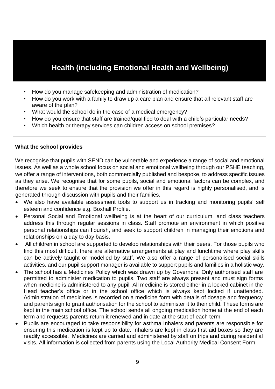## **Health (including Emotional Health and Wellbeing)**

- How do you manage safekeeping and administration of medication?
- How do you work with a family to draw up a care plan and ensure that all relevant staff are aware of the plan?
- What would the school do in the case of a medical emergency?
- How do you ensure that staff are trained/qualified to deal with a child's particular needs?
- Which health or therapy services can children access on school premises?

#### **What the school provides**

We recognise that pupils with SEND can be vulnerable and experience a range of social and emotional issues. As well as a whole school focus on social and emotional wellbeing through our PSHE teaching, we offer a range of interventions, both commercially published and bespoke, to address specific issues as they arise. We recognise that for some pupils, social and emotional factors can be complex, and therefore we seek to ensure that the provision we offer in this regard is highly personalised, and is generated through discussion with pupils and their families.

- We also have available assessment tools to support us in tracking and monitoring pupils' self esteem and confidence e.g. Boxhall Profile.
- Personal Social and Emotional wellbeing is at the heart of our curriculum, and class teachers address this through regular sessions in class. Staff promote an environment in which positive personal relationships can flourish, and seek to support children in managing their emotions and relationships on a day to day basis.
- All children in school are supported to develop relationships with their peers. For those pupils who find this most difficult, there are alternative arrangements at play and lunchtime where play skills can be actively taught or modelled by staff. We also offer a range of personalised social skills activities, and our pupil support manager is available to support pupils and families in a holistic way.
- The school has a Medicines Policy which was drawn up by Governors. Only authorised staff are permitted to administer medication to pupils. Two staff are always present and must sign forms when medicine is administered to any pupil. All medicine is stored either in a locked cabinet in the Head teacher's office or in the school office which is always kept locked if unattended. Administration of medicines is recorded on a medicine form with details of dosage and frequency and parents sign to grant authorisation for the school to administer it to their child. These forms are kept in the main school office. The school sends all ongoing medication home at the end of each term and requests parents return it renewed and in date at the start of each term.
- Pupils are encouraged to take responsibility for asthma Inhalers and parents are responsible for ensuring this medication is kept up to date. Inhalers are kept in class first aid boxes so they are readily accessible. Medicines are carried and administered by staff on trips and during residential visits. All information is collected from parents using the Local Authority Medical Consent Form.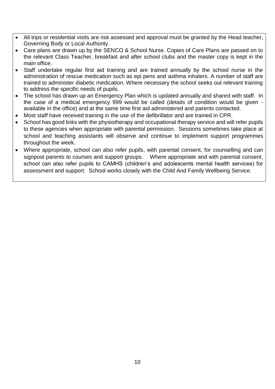- All trips or residential visits are risk assessed and approval must be granted by the Head teacher, Governing Body or Local Authority.
- Care plans are drawn up by the SENCO & School Nurse. Copies of Care Plans are passed on to the relevant Class Teacher, breakfast and after school clubs and the master copy is kept in the main office.
- Staff undertake regular first aid training and are trained annually by the school nurse in the administration of rescue medication such as epi pens and asthma inhalers. A number of staff are trained to administer diabetic medication. Where necessary the school seeks out relevant training to address the specific needs of pupils.
- The school has drawn up an Emergency Plan which is updated annually and shared with staff. In the case of a medical emergency 999 would be called (details of condition would be given available in the office) and at the same time first aid administered and parents contacted.
- Most staff have received training in the use of the defibrillator and are trained in CPR.
- School has good links with the physiotherapy and occupational therapy service and will refer pupils to these agencies when appropriate with parental permission. Sessions sometimes take place at school and teaching assistants will observe and continue to implement support programmes throughout the week.
- Where appropriate, school can also refer pupils, with parental consent, for counselling and can signpost parents to courses and support groups. Where appropriate and with parental consent, school can also refer pupils to CAMHS (children's and adolescents mental health services) for assessment and support. School works closely with the Child And Family Wellbeing Service.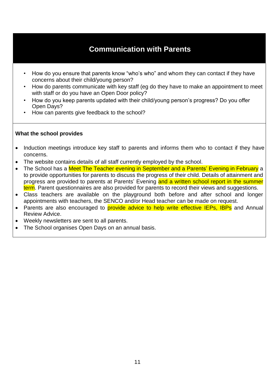## **Communication with Parents**

- How do you ensure that parents know "who's who" and whom they can contact if they have concerns about their child/young person?
- How do parents communicate with key staff (eg do they have to make an appointment to meet with staff or do you have an Open Door policy?
- How do you keep parents updated with their child/young person's progress? Do you offer Open Days?
- How can parents give feedback to the school?

- Induction meetings introduce key staff to parents and informs them who to contact if they have concerns.
- The website contains details of all staff currently employed by the school.
- The School has a **Meet The Teacher evening in September and a Parents' Evening in February** a to provide opportunities for parents to discuss the progress of their child. Details of attainment and progress are provided to parents at Parents' Evening and a written school report in the summer term. Parent questionnaires are also provided for parents to record their views and suggestions.
- Class teachers are available on the playground both before and after school and longer appointments with teachers, the SENCO and/or Head teacher can be made on request.
- Parents are also encouraged to **provide advice to help write effective IEPs, IBPs** and Annual Review Advice.
- Weekly newsletters are sent to all parents.
- The School organises Open Days on an annual basis.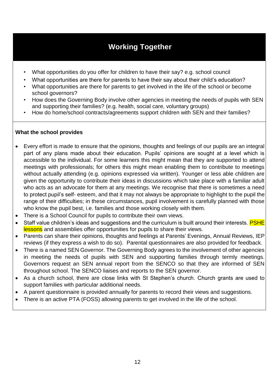# **Working Together**

- What opportunities do you offer for children to have their say? e.g. school council
- What opportunities are there for parents to have their say about their child's education?
- What opportunities are there for parents to get involved in the life of the school or become school governors?
- How does the Governing Body involve other agencies in meeting the needs of pupils with SEN and supporting their families? (e.g. health, social care, voluntary groups)
- How do home/school contracts/agreements support children with SEN and their families?

- Every effort is made to ensure that the opinions, thoughts and feelings of our pupils are an integral part of any plans made about their education. Pupils' opinions are sought at a level which is accessible to the individual. For some learners this might mean that they are supported to attend meetings with professionals; for others this might mean enabling them to contribute to meetings without actually attending (e.g. opinions expressed via written). Younger or less able children are given the opportunity to contribute their ideas in discussions which take place with a familiar adult who acts as an advocate for them at any meetings. We recognise that there is sometimes a need to protect pupil's self- esteem, and that it may not always be appropriate to highlight to the pupil the range of their difficulties; in these circumstances, pupil involvement is carefully planned with those who know the pupil best, i.e. families and those working closely with them.
- There is a School Council for pupils to contribute their own views.
- Staff value children's ideas and suggestions and the curriculum is built around their interests. PSHE lessons and assemblies offer opportunities for pupils to share their views.
- Parents can share their opinions, thoughts and feelings at Parents' Evenings, Annual Reviews, IEP reviews (if they express a wish to do so). Parental questionnaires are also provided for feedback.
- There is a named SEN Governor. The Governing Body agrees to the involvement of other agencies in meeting the needs of pupils with SEN and supporting families through termly meetings. Governors request an SEN annual report from the SENCO so that they are informed of SEN throughout school. The SENCO liaises and reports to the SEN governor.
- As a church school, there are close links with St Stephen's church. Church grants are used to support families with particular additional needs.
- A parent questionnaire is provided annually for parents to record their views and suggestions.
- There is an active PTA (FOSS) allowing parents to get involved in the life of the school.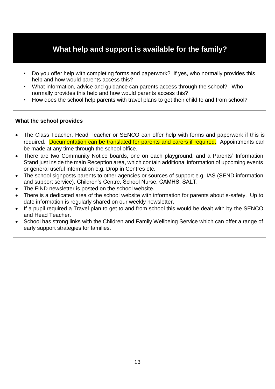## **What help and support is available for the family?**

- Do you offer help with completing forms and paperwork? If yes, who normally provides this help and how would parents access this?
- What information, advice and guidance can parents access through the school? Who normally provides this help and how would parents access this?
- How does the school help parents with travel plans to get their child to and from school?

- The Class Teacher, Head Teacher or SENCO can offer help with forms and paperwork if this is required. Documentation can be translated for parents and carers if required. Appointments can be made at any time through the school office.
- There are two Community Notice boards, one on each playground, and a Parents' Information Stand just inside the main Reception area, which contain additional information of upcoming events or general useful information e.g. Drop in Centres etc.
- The school signposts parents to other agencies or sources of support e.g. IAS (SEND information and support service), Children's Centre, School Nurse, CAMHS, SALT.
- The FIND newsletter is posted on the school website.
- There is a dedicated area of the school website with information for parents about e-safety. Up to date information is regularly shared on our weekly newsletter.
- If a pupil required a Travel plan to get to and from school this would be dealt with by the SENCO and Head Teacher.
- School has strong links with the Children and Family Wellbeing Service which can offer a range of early support strategies for families.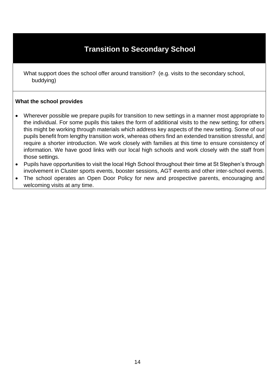## **Transition to Secondary School**

What support does the school offer around transition? (e.g. visits to the secondary school, buddying)

- Wherever possible we prepare pupils for transition to new settings in a manner most appropriate to the individual. For some pupils this takes the form of additional visits to the new setting; for others this might be working through materials which address key aspects of the new setting. Some of our pupils benefit from lengthy transition work, whereas others find an extended transition stressful, and require a shorter introduction. We work closely with families at this time to ensure consistency of information. We have good links with our local high schools and work closely with the staff from those settings.
- Pupils have opportunities to visit the local High School throughout their time at St Stephen's through involvement in Cluster sports events, booster sessions, AGT events and other inter-school events.
- The school operates an Open Door Policy for new and prospective parents, encouraging and welcoming visits at any time.